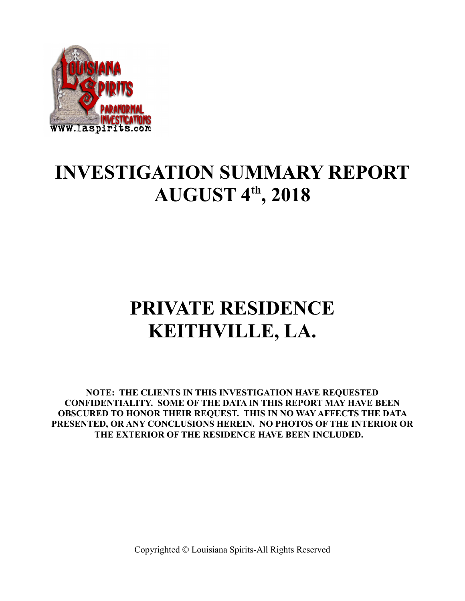

## **INVESTIGATION SUMMARY REPORT AUGUST 4th, 2018**

# **PRIVATE RESIDENCE KEITHVILLE, LA.**

**NOTE: THE CLIENTS IN THIS INVESTIGATION HAVE REQUESTED CONFIDENTIALITY. SOME OF THE DATA IN THIS REPORT MAY HAVE BEEN OBSCURED TO HONOR THEIR REQUEST. THIS IN NO WAY AFFECTS THE DATA PRESENTED, OR ANY CONCLUSIONS HEREIN. NO PHOTOS OF THE INTERIOR OR THE EXTERIOR OF THE RESIDENCE HAVE BEEN INCLUDED.**

Copyrighted © Louisiana Spirits-All Rights Reserved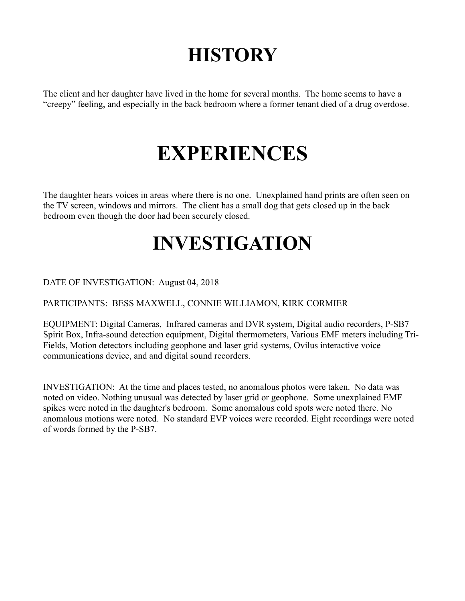# **HISTORY**

The client and her daughter have lived in the home for several months. The home seems to have a "creepy" feeling, and especially in the back bedroom where a former tenant died of a drug overdose.

# **EXPERIENCES**

The daughter hears voices in areas where there is no one. Unexplained hand prints are often seen on the TV screen, windows and mirrors. The client has a small dog that gets closed up in the back bedroom even though the door had been securely closed.

## **INVESTIGATION**

DATE OF INVESTIGATION: August 04, 2018

PARTICIPANTS: BESS MAXWELL, CONNIE WILLIAMON, KIRK CORMIER

EQUIPMENT: Digital Cameras, Infrared cameras and DVR system, Digital audio recorders, P-SB7 Spirit Box, Infra-sound detection equipment, Digital thermometers, Various EMF meters including Tri-Fields, Motion detectors including geophone and laser grid systems, Ovilus interactive voice communications device, and and digital sound recorders.

INVESTIGATION: At the time and places tested, no anomalous photos were taken. No data was noted on video. Nothing unusual was detected by laser grid or geophone. Some unexplained EMF spikes were noted in the daughter's bedroom. Some anomalous cold spots were noted there. No anomalous motions were noted. No standard EVP voices were recorded. Eight recordings were noted of words formed by the P-SB7.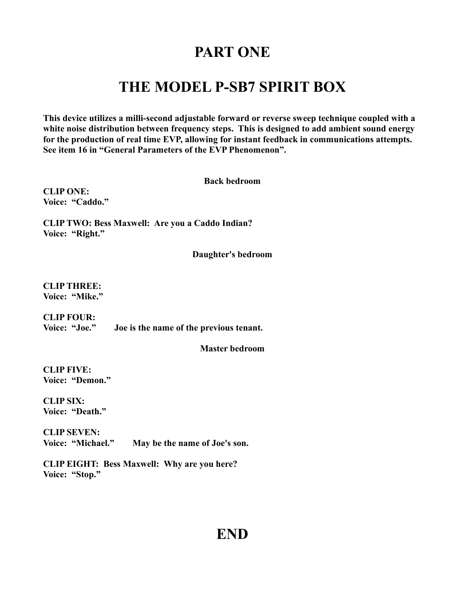### **PART ONE**

### **THE MODEL P-SB7 SPIRIT BOX**

**This device utilizes a milli-second adjustable forward or reverse sweep technique coupled with a white noise distribution between frequency steps. This is designed to add ambient sound energy for the production of real time EVP, allowing for instant feedback in communications attempts. See item 16 in "General Parameters of the EVP Phenomenon".** 

**Back bedroom**

**CLIP ONE: Voice: "Caddo."**

**CLIP TWO: Bess Maxwell: Are you a Caddo Indian? Voice: "Right."**

**Daughter's bedroom**

**CLIP THREE: Voice: "Mike."**

**CLIP FOUR: Voice: "Joe." Joe is the name of the previous tenant.**

**Master bedroom**

**CLIP FIVE: Voice: "Demon."**

**CLIP SIX: Voice: "Death."**

**CLIP SEVEN: Voice: "Michael." May be the name of Joe's son.**

**CLIP EIGHT: Bess Maxwell: Why are you here? Voice: "Stop."**

#### **END**